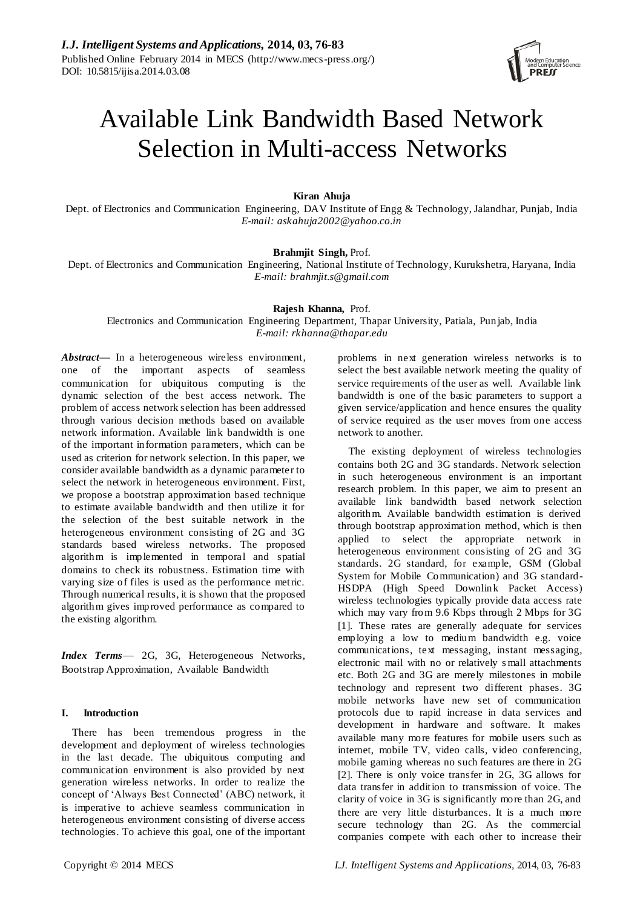

# Available Link Bandwidth Based Network Selection in Multi-access Networks

**Kiran Ahuja**

Dept. of Electronics and Communication Engineering, DAV Institute of Engg & Technology, Jalandhar, Punjab, India *E-mail: askahuja2002@yahoo.co.in*

# **Brahmjit Singh,** Prof.

Dept. of Electronics and Communication Engineering, National Institute of Technology, Kurukshetra, Haryana, India *E-mail: brahmjit.s@gmail.com*

# **Rajesh Khanna,** Prof.

Electronics and Communication Engineering Department, Thapar University, Patiala, Pun jab, India *E-mail: rkhanna@thapar.edu*

Abstract— In a heterogeneous wireless environment, one of the important aspects of seamless communication for ubiquitous computing is the dynamic selection of the best access network. The problem of access network selection has been addressed through various decision methods based on available network information. Available link bandwidth is one of the important information parameters, which can be used as criterion for network selection. In this paper, we consider available bandwidth as a dynamic parameter to select the network in heterogeneous environment. First, we propose a bootstrap approximation based technique to estimate available bandwidth and then utilize it for the selection of the best suitable network in the heterogeneous environment consisting of 2G and 3G standards based wireless networks. The proposed algorithm is implemented in temporal and spatial domains to check its robustness. Estimation time with varying size of files is used as the performance metric. Through numerical results, it is shown that the proposed algorithm gives improved performance as compared to the existing algorithm.

*Index Terms*— 2G, 3G, Heterogeneous Networks, Bootstrap Approximation, Available Bandwidth

# **I. Introduction**

There has been tremendous progress in the development and deployment of wireless technologies in the last decade. The ubiquitous computing and communication environment is also provided by next generation wireless networks. In order to realize the concept of ‗Always Best Connected' (ABC) network, it is imperative to achieve seamless communication in heterogeneous environment consisting of diverse access technologies. To achieve this goal, one of the important problems in next generation wireless networks is to select the best available network meeting the quality of service requirements of the user as well. Available link bandwidth is one of the basic parameters to support a given service/application and hence ensures the quality of service required as the user moves from one access network to another.

The existing deployment of wireless technologies contains both 2G and 3G standards. Network selection in such heterogeneous environment is an important research problem. In this paper, we aim to present an available link bandwidth based network selection algorithm. Available bandwidth estimation is derived through bootstrap approximation method, which is then applied to select the appropriate network in heterogeneous environment consisting of 2G and 3G standards. 2G standard, for example, GSM (Global System for Mobile Communication) and 3G standard-HSDPA (High Speed Downlink Packet Access) wireless technologies typically provide data access rate which may vary from 9.6 Kbps through 2 Mbps for 3G [1]. These rates are generally adequate for services employing a low to medium bandwidth e.g. voice communications, text messaging, instant messaging, electronic mail with no or relatively s mall attachments etc. Both 2G and 3G are merely milestones in mobile technology and represent two different phases. 3G mobile networks have new set of communication protocols due to rapid increase in data services and development in hardware and software. It makes available many more features for mobile users such as internet, mobile TV, video calls, video conferencing, mobile gaming whereas no such features are there in 2G [2]. There is only voice transfer in 2G, 3G allows for data transfer in addition to transmission of voice. The clarity of voice in 3G is significantly more than 2G, and there are very little disturbances. It is a much more secure technology than 2G. As the commercial companies compete with each other to increase their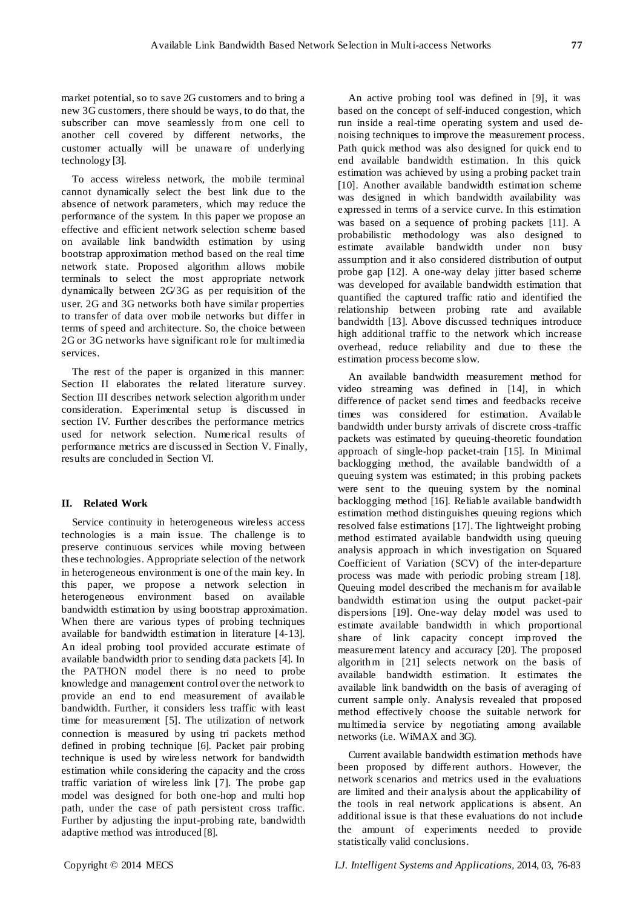market potential, so to save 2G customers and to bring a new 3G customers, there should be ways, to do that, the subscriber can move seamlessly from one cell to another cell covered by different networks, the customer actually will be unaware of underlying technology [3].

To access wireless network, the mobile terminal cannot dynamically select the best link due to the absence of network parameters, which may reduce the performance of the system. In this paper we propose an effective and efficient network selection scheme based on available link bandwidth estimation by using bootstrap approximation method based on the real time network state. Proposed algorithm allows mobile terminals to select the most appropriate network dynamically between 2G/3G as per requisition of the user. 2G and 3G networks both have similar properties to transfer of data over mobile networks but differ in terms of speed and architecture. So, the choice between 2G or 3G networks have significant role for multimedia services.

The rest of the paper is organized in this manner: Section II elaborates the related literature survey. Section III describes network selection algorithm under consideration. Experimental setup is discussed in section IV. Further describes the performance metrics used for network selection. Numerical results of performance metrics are discussed in Section V. Finally, results are concluded in Section VI.

### **II. Related Work**

Service continuity in heterogeneous wireless access technologies is a main issue. The challenge is to preserve continuous services while moving between these technologies. Appropriate selection of the network in heterogeneous environment is one of the main key. In this paper, we propose a network selection in heterogeneous environment based on available bandwidth estimation by using bootstrap approximation. When there are various types of probing techniques available for bandwidth estimation in literature [4-13]. An ideal probing tool provided accurate estimate of available bandwidth prior to sending data packets [4]. In the PATHON model there is no need to probe knowledge and management control over the network to provide an end to end measurement of available bandwidth. Further, it considers less traffic with least time for measurement [5]. The utilization of network connection is measured by using tri packets method defined in probing technique [6]. Packet pair probing technique is used by wireless network for bandwidth estimation while considering the capacity and the cross traffic variation of wireless link [7]. The probe gap model was designed for both one-hop and multi hop path, under the case of path persistent cross traffic. Further by adjusting the input-probing rate, bandwidth adaptive method was introduced [8].

An active probing tool was defined in [9], it was based on the concept of self-induced congestion, which run inside a real-time operating system and used denoising techniques to improve the measurement process. Path quick method was also designed for quick end to end available bandwidth estimation. In this quick estimation was achieved by using a probing packet train [10]. Another available bandwidth estimation scheme was designed in which bandwidth availability was expressed in terms of a service curve. In this estimation was based on a sequence of probing packets [11]. A probabilistic methodology was also designed to estimate available bandwidth under non busy assumption and it also considered distribution of output probe gap [12]. A one-way delay jitter based scheme was developed for available bandwidth estimation that quantified the captured traffic ratio and identified the relationship between probing rate and available bandwidth [13]. Above discussed techniques introduce high additional traffic to the network which increase overhead, reduce reliability and due to these the estimation process become slow.

An available bandwidth measurement method for video streaming was defined in [14], in which difference of packet send times and feedbacks receive times was considered for estimation. Available bandwidth under bursty arrivals of discrete cross-traffic packets was estimated by queuing-theoretic foundation approach of single-hop packet-train [15]. In Minimal backlogging method, the available bandwidth of a queuing system was estimated; in this probing packets were sent to the queuing system by the nominal backlogging method [16]. Reliable available bandwidth estimation method distinguishes queuing regions which resolved false estimations [17]. The lightweight probing method estimated available bandwidth using queuing analysis approach in which investigation on Squared Coefficient of Variation (SCV) of the inter-departure process was made with periodic probing stream [18]. Queuing model described the mechanis m for available bandwidth estimation using the output packet-pair dispersions [19]. One-way delay model was used to estimate available bandwidth in which proportional share of link capacity concept improved the measurement latency and accuracy [20]. The proposed algorithm in [21] selects network on the basis of available bandwidth estimation. It estimates the available link bandwidth on the basis of averaging of current sample only. Analysis revealed that proposed method effectively choose the suitable network for multimedia service by negotiating among available networks (i.e. WiMAX and 3G).

Current available bandwidth estimation methods have been proposed by different authors. However, the network scenarios and metrics used in the evaluations are limited and their analysis about the applicability of the tools in real network applications is absent. An additional issue is that these evaluations do not include the amount of experiments needed to provide statistically valid conclusions.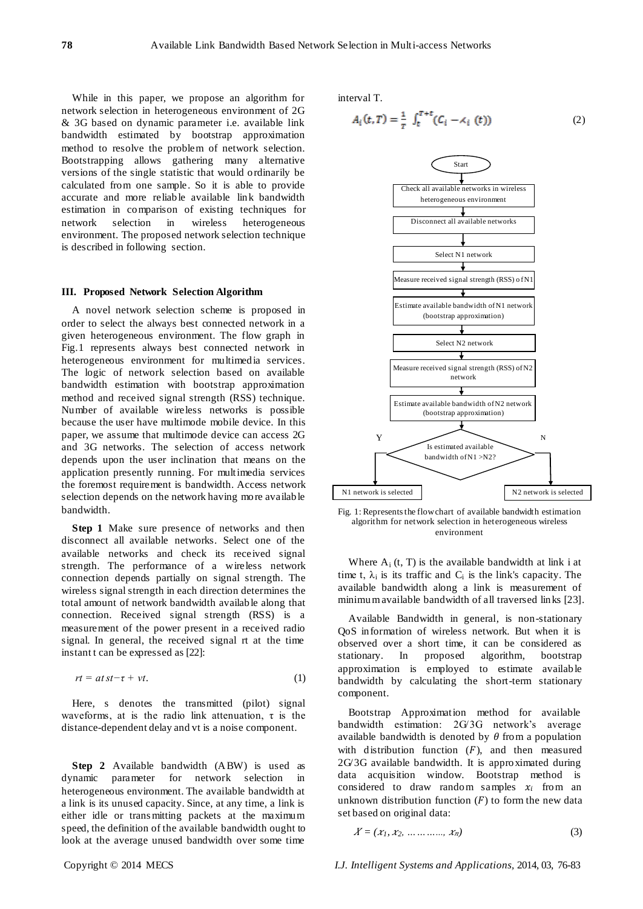While in this paper, we propose an algorithm for network selection in heterogeneous environment of 2G & 3G based on dynamic parameter i.e. available link bandwidth estimated by bootstrap approximation method to resolve the problem of network selection. Bootstrapping allows gathering many alternative versions of the single statistic that would ordinarily be calculated from one sample. So it is able to provide accurate and more reliable available link bandwidth estimation in comparison of existing techniques for network selection in wireless heterogeneous environment. The proposed network selection technique is described in following section.

#### **III. Proposed Network Selection Algorithm**

A novel network selection scheme is proposed in order to select the always best connected network in a given heterogeneous environment. The flow graph in Fig.1 represents always best connected network in heterogeneous environment for multimedia services. The logic of network selection based on available bandwidth estimation with bootstrap approximation method and received signal strength (RSS) technique. Number of available wireless networks is possible because the user have multimode mobile device. In this paper, we assume that multimode device can access 2G and 3G networks. The selection of access network depends upon the user inclination that means on the application presently running. For multimedia services the foremost requirement is bandwidth. Access network selection depends on the network having more available bandwidth.

**Step 1** Make sure presence of networks and then disconnect all available networks. Select one of the available networks and check its received signal strength. The performance of a wireless network connection depends partially on signal strength. The wireless signal strength in each direction determines the total amount of network bandwidth available along that connection. Received signal strength (RSS) is a measurement of the power present in a received radio signal. In general, the received signal rt at the time instant t can be expressed as [22]:

$$
rt = atst-\tau + vt. \tag{1}
$$

Here, s denotes the transmitted (pilot) signal waveforms, at is the radio link attenuation,  $\tau$  is the distance-dependent delay and vt is a noise component.

**Step 2** Available bandwidth (ABW) is used as dynamic parameter for network selection in heterogeneous environment. The available bandwidth at a link is its unused capacity. Since, at any time, a link is either idle or trans mitting packets at the maximum speed, the definition of the available bandwidth ought to look at the average unused bandwidth over some time

interval T.

$$
A_i(t, T) = \frac{1}{T} \int_t^{T+t} (C_i - \lambda_i(t))
$$
 (2)



Fig. 1: Represents the flow chart of available bandwidth estimation algorithm for network selection in heterogeneous wireless environment

Where  $A_i$  (t, T) is the available bandwidth at link i at time t,  $\lambda_i$  is its traffic and  $C_i$  is the link's capacity. The available bandwidth along a link is measurement of minimum available bandwidth of all traversed links [23].

Available Bandwidth in general, is non-stationary QoS information of wireless network. But when it is observed over a short time, it can be considered as stationary. In proposed algorithm, bootstrap approximation is employed to estimate available bandwidth by calculating the short-term stationary component.

Bootstrap Approximation method for available bandwidth estimation: 2G/3G network's average available bandwidth is denoted by  $\theta$  from a population with distribution function  $(F)$ , and then measured 2G/3G available bandwidth. It is approximated during data acquisition window. Bootstrap method is considered to draw random samples  $x_i$  from an unknown distribution function  $(F)$  to form the new data set based on original data:

$$
X = (x_1, x_2, \ldots, x_n) \tag{3}
$$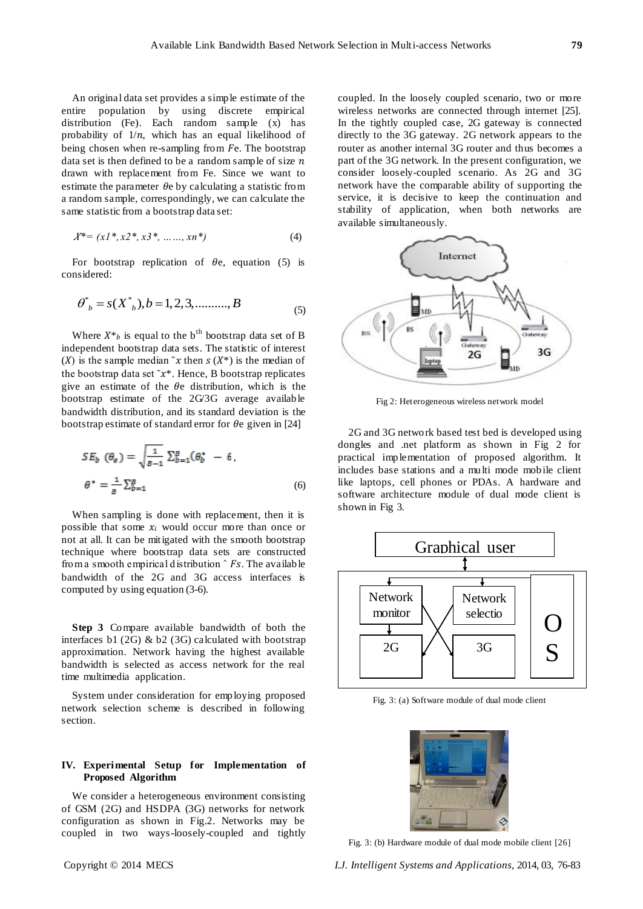An original data set provides a simple estimate of the entire population by using discrete empirical distribution (Fe). Each random sample (x) has probability of  $1/n$ , which has an equal likelihood of being chosen when re-sampling from  $Fe$ . The bootstrap data set is then defined to be a random sample of size  $n$ drawn with replacement from Fe. Since we want to estimate the parameter  $\theta$ e by calculating a statistic from a random sample, correspondingly, we can calculate the same statistic from a bootstrap data set:

$$
X^* = (x1^*, x2^*, x3^*, \dots, xn^*)
$$
 (4)

For bootstrap replication of  $\theta$ e, equation (5) is considered:

$$
\theta^*_{b} = s(X^*_{b}), b = 1, 2, 3, \dots, B
$$
 (5)

Where  $X^*$ <sub>h</sub> is equal to the b<sup>th</sup> bootstrap data set of B independent bootstrap data sets. The statistic of interest (X) is the sample median  $x$  then  $s(X^*)$  is the median of the bootstrap data set  $\tilde{x}^*$ . Hence, B bootstrap replicates give an estimate of the  $\theta$ e distribution, which is the bootstrap estimate of the 2G/3G average available bandwidth distribution, and its standard deviation is the bootstrap estimate of standard error for  $\theta$ e given in [24]

$$
SE_b \ (\theta_e) = \sqrt{\frac{1}{B-1}} \sum_{b=1}^{B} (\theta_b^* - 6,
$$
  

$$
\theta^* = \frac{1}{B} \sum_{b=1}^{B} (6)
$$
 (6)

When sampling is done with replacement, then it is possible that some  $x_i$  would occur more than once or not at all. It can be mitigated with the smooth bootstrap technique where bootstrap data sets are constructed from a smooth empirical distribution  $\hat{r}$  Fs. The available bandwidth of the 2G and 3G access interfaces is computed by using equation (3-6).

**Step 3** Compare available bandwidth of both the interfaces b1 (2G) & b2 (3G) calculated with bootstrap approximation. Network having the highest available bandwidth is selected as access network for the real time multimedia application.

System under consideration for employing proposed network selection scheme is described in following section.

## **IV. Experimental Setup for Implementation of Proposed Algorithm**

We consider a heterogeneous environment consisting of GSM (2G) and HSDPA (3G) networks for network configuration as shown in Fig.2. Networks may be coupled in two ways-loosely-coupled and tightly

coupled. In the loosely coupled scenario, two or more wireless networks are connected through internet [25]. In the tightly coupled case, 2G gateway is connected directly to the 3G gateway. 2G network appears to the router as another internal 3G router and thus becomes a part of the 3G network. In the present configuration, we consider loosely-coupled scenario. As 2G and 3G network have the comparable ability of supporting the service, it is decisive to keep the continuation and stability of application, when both networks are available simultaneously.



Fig 2: Heterogeneous wireless network model

2G and 3G network based test bed is developed using dongles and .net platform as shown in Fig 2 for practical implementation of proposed algorithm. It includes base stations and a multi mode mobile client like laptops, cell phones or PDAs. A hardware and software architecture module of dual mode client is shown in Fig 3.



Fig. 3: (a) Software module of dual mode client



Fig. 3: (b) Hardware module of dual mode mobile client [26]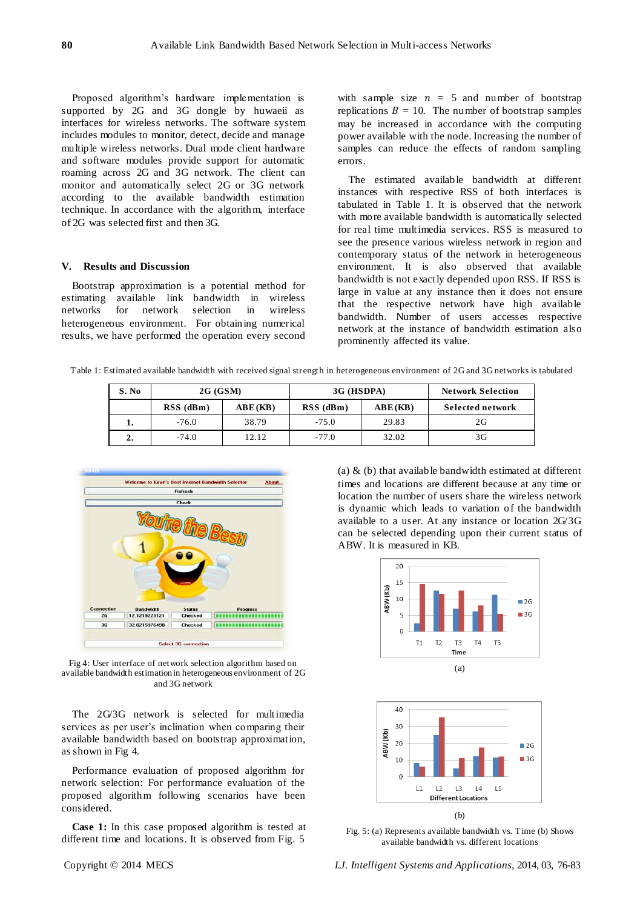Proposed algorithm's hardware implementation is supported by 2G and 3G dongle by huwaeii as interfaces for wireless networks. The software system includes modules to monitor, detect, decide and manage multiple wireless networks. Dual mode client hardware and software modules provide support for automatic roaming across 2G and 3G network. The client can monitor and automatically select 2G or 3G network according to the available bandwidth estimation technique. In accordance with the algorithm, interface of 2G was selected first and then 3G.

#### **V. Results and Discussion**

Bootstrap approximation is a potential method for estimating available link bandwidth in wireless networks for network selection in wireless heterogeneous environment. For obtaining numerical results, we have performed the operation every second with sample size  $n = 5$  and number of bootstrap replications  $B = 10$ . The number of bootstrap samples may be increased in accordance with the computing power available with the node. Increasing the number of samples can reduce the effects of random sampling errors.

The estimated available bandwidth at different instances with respective RSS of both interfaces is tabulated in Table 1. It is observed that the network with more available bandwidth is automatically selected for real time multimedia services. RSS is measured to see the presence various wireless network in region and contemporary status of the network in heterogeneous environment. It is also observed that available bandwidth is not exactly depended upon RSS. If RSS is large in value at any instance then it does not ensure that the respective network have high available bandwidth. Number of users accesses respective network at the instance of bandwidth estimation also prominently affected its value.

Table 1: Estimated available bandwidth with received signal strength in heterogeneous environment of 2G and 3G networks is tabulated

| S. No | 2G(GSM)     |         | 3G (HSDPA)  |         | <b>Network Selection</b> |
|-------|-------------|---------|-------------|---------|--------------------------|
|       | $RSS$ (dBm) | ABE(KB) | $RSS$ (dBm) | ABE(KB) | <b>Selected network</b>  |
|       | $-76.0$     | 38.79   | $-75.0$     | 29.83   | 2G                       |
| 2.    | -74.0       | 12.12   | $-77.0$     | 32.02   | 3G                       |



Fig 4: User interface of network selection algorithm based on available bandwidth estimation in heterogeneous environment of 2G and 3G network

The 2G/3G network is selected for multimedia services as per user's inclination when comparing their available bandwidth based on bootstrap approximation, as shown in Fig 4.

Performance evaluation of proposed algorithm for network selection: For performance evaluation of the proposed algorithm following scenarios have been considered.

**Case 1:** In this case proposed algorithm is tested at different time and locations. It is observed from Fig. 5

(a)  $\&$  (b) that available bandwidth estimated at different times and locations are different because at any time or location the number of users share the wireless network is dynamic which leads to variation of the bandwidth available to a user. At any instance or location 2G/3G can be selected depending upon their current status of ABW. It is measured in KB.





Fig. 5: (a) Represents available bandwidth vs. Time (b) Shows available bandwidth vs. different locations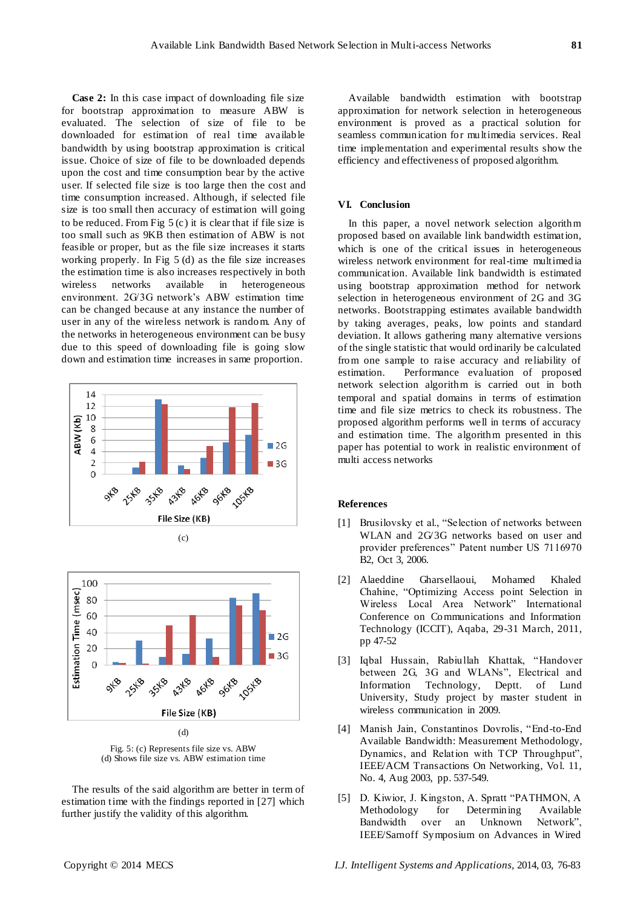**Case 2:** In this case impact of downloading file size for bootstrap approximation to measure ABW is evaluated. The selection of size of file to be downloaded for estimation of real time available bandwidth by using bootstrap approximation is critical issue. Choice of size of file to be downloaded depends upon the cost and time consumption bear by the active user. If selected file size is too large then the cost and time consumption increased. Although, if selected file size is too small then accuracy of estimation will going to be reduced. From Fig  $5$  (c) it is clear that if file size is too small such as 9KB then estimation of ABW is not feasible or proper, but as the file size increases it starts working properly. In Fig 5 (d) as the file size increases the estimation time is also increases respectively in both wireless networks available in heterogeneous environment. 2G/3G network's ABW estimation time can be changed because at any instance the number of user in any of the wireless network is random. Any of the networks in heterogeneous environment can be busy due to this speed of downloading file is going slow down and estimation time increases in same proportion.





Fig. 5: (c) Represents file size vs. ABW (d) Shows file size vs. ABW estimation time

The results of the said algorithm are better in term of estimation time with the findings reported in [27] which further justify the validity of this algorithm.

Available bandwidth estimation with bootstrap approximation for network selection in heterogeneous environment is proved as a practical solution for seamless communication for multimedia services. Real time implementation and experimental results show the efficiency and effectiveness of proposed algorithm.

# **VI. Conclusion**

In this paper, a novel network selection algorithm proposed based on available link bandwidth estimation, which is one of the critical issues in heterogeneous wireless network environment for real-time multimedia communication. Available link bandwidth is estimated using bootstrap approximation method for network selection in heterogeneous environment of 2G and 3G networks. Bootstrapping estimates available bandwidth by taking averages, peaks, low points and standard deviation. It allows gathering many alternative versions of the single statistic that would ordinarily be calculated from one sample to raise accuracy and reliability of estimation. Performance evaluation of proposed network selection algorithm is carried out in both temporal and spatial domains in terms of estimation time and file size metrics to check its robustness. The proposed algorithm performs well in terms of accuracy and estimation time. The algorithm presented in this paper has potential to work in realistic environment of multi access networks

#### **References**

- [1] Brusilovsky et al., "Selection of networks between WLAN and 2G/3G networks based on user and provider preferences" Patent number US 7116970 B2, Oct 3, 2006.
- [2] Alaeddine Gharsellaoui, Mohamed Khaled Chahine, "Optimizing Access point Selection in Wireless Local Area Network" International Conference on Communications and Information Technology (ICCIT), Aqaba, 29-31 March, 2011, pp 47-52
- [3] Iqbal Hussain, Rabiullah Khattak, "Handover between 2G, 3G and WLANs", Electrical and Information Technology, Deptt. of Lund University, Study project by master student in wireless communication in 2009.
- [4] Manish Jain, Constantinos Dovrolis, "End-to-End Available Bandwidth: Measurement Methodology, Dynamics, and Relation with TCP Throughput", IEEE/ACM Transactions On Networking, Vol. 11, No. 4, Aug 2003, pp. 537-549.
- [5] D. Kiwior, J. Kingston, A. Spratt "PATHMON, A Methodology for Determining Available Bandwidth over an Unknown Network", IEEE/Sarnoff Symposium on Advances in Wired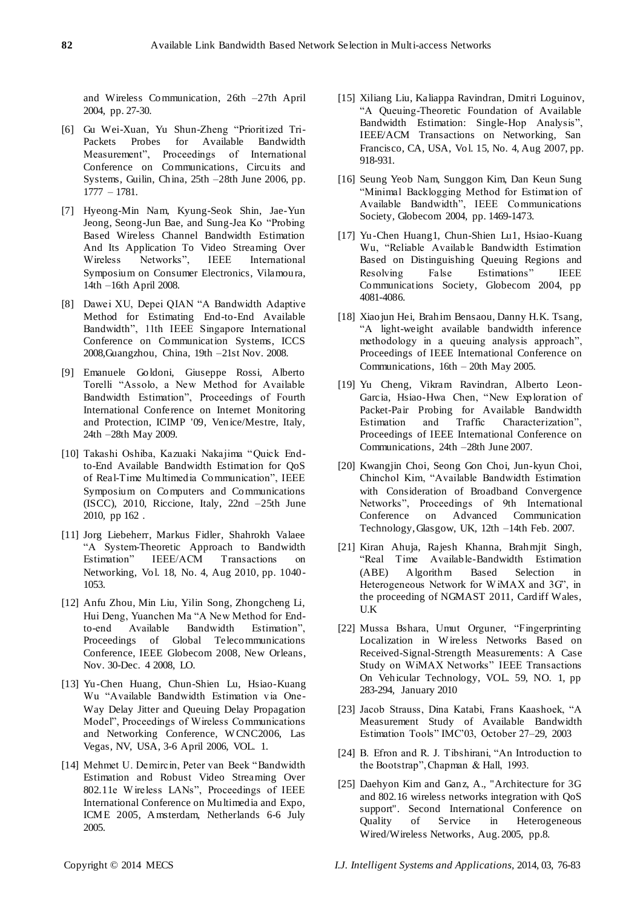and Wireless Communication, 26th –27th April 2004, pp. 27-30.

- [6] Gu Wei-Xuan, Yu Shun-Zheng "Prioritized Tri-Packets Probes for Available Bandwidth Measurement", Proceedings of International Conference on Communications, Circuits and Systems, Guilin, China, 25th –28th June 2006, pp. 1777 – 1781.
- [7] Hyeong-Min Nam, Kyung-Seok Shin, Jae-Yun Jeong, Seong-Jun Bae, and Sung-Jea Ko "Probing Based Wireless Channel Bandwidth Estimation And Its Application To Video Streaming Over Wireless Networks", IEEE International Symposium on Consumer Electronics, Vilamoura, 14th –16th April 2008.
- [8] Dawei XU, Depei QIAN "A Bandwidth Adaptive Method for Estimating End-to-End Available Bandwidth", 11th IEEE Singapore International Conference on Communication Systems, ICCS 2008,Guangzhou, China, 19th –21st Nov. 2008.
- [9] Emanuele Goldoni, Giuseppe Rossi, Alberto Torelli "Assolo, a New Method for Available Bandwidth Estimation", Proceedings of Fourth International Conference on Internet Monitoring and Protection, ICIMP '09, Venice/Mestre, Italy, 24th –28th May 2009.
- [10] Takashi Oshiba, Kazuaki Nakajima "Quick Endto-End Available Bandwidth Estimation for QoS of Real-Time Multimedia Communication", IEEE Symposium on Computers and Communications (ISCC), 2010, Riccione, Italy, 22nd –25th June 2010, pp 162 .
- [11] Jorg Liebeherr, Markus Fidler, Shahrokh Valaee ―A System-Theoretic Approach to Bandwidth Estimation" IEEE/ACM Transactions on Networking, Vol. 18, No. 4, Aug 2010, pp. 1040- 1053.
- [12] Anfu Zhou, Min Liu, Yilin Song, Zhongcheng Li, Hui Deng, Yuanchen Ma "A New Method for Endto-end Available Bandwidth Estimation", Proceedings of Global Telecommunications Conference, IEEE Globecom 2008, New Orleans, Nov. 30-Dec. 4 2008, LO.
- [13] Yu-Chen Huang, Chun-Shien Lu, Hsiao-Kuang Wu "Available Bandwidth Estimation via One-Way Delay Jitter and Queuing Delay Propagation Model", Proceedings of Wireless Communications and Networking Conference, W CNC2006, Las Vegas, NV, USA, 3-6 April 2006, VOL. 1.
- [14] Mehmet U. Demircin, Peter van Beek "Bandwidth" Estimation and Robust Video Streaming Over 802.11e Wireless LANs", Proceedings of IEEE International Conference on Multimedia and Expo, ICME 2005, Amsterdam, Netherlands 6-6 July 2005.
- [15] Xiliang Liu, Kaliappa Ravindran, Dmitri Loguinov, ―A Queuing-Theoretic Foundation of Available Bandwidth Estimation: Single-Hop Analysis", IEEE/ACM Transactions on Networking, San Francisco, CA, USA, Vol. 15, No. 4, Aug 2007, pp. 918-931.
- [16] Seung Yeob Nam, Sunggon Kim, Dan Keun Sung ―Minimal Backlogging Method for Estimation of Available Bandwidth", IEEE Communications Society, Globecom 2004, pp. 1469-1473.
- [17] Yu-Chen Huang1, Chun-Shien Lu1, Hsiao-Kuang Wu, "Reliable Available Bandwidth Estimation Based on Distinguishing Queuing Regions and Resolving False Estimations" IEEE Communications Society, Globecom 2004, pp 4081-4086.
- [18] Xiaojun Hei, Brahim Bensaou, Danny H.K. Tsang, ―A light-weight available bandwidth inference methodology in a queuing analysis approach", Proceedings of IEEE International Conference on Communications, 16th – 20th May 2005.
- [19] Yu Cheng, Vikram Ravindran, Alberto Leon-Garcia, Hsiao-Hwa Chen, "New Exploration of Packet-Pair Probing for Available Bandwidth Estimation and Traffic Characterization", Proceedings of IEEE International Conference on Communications, 24th –28th June 2007.
- [20] Kwangjin Choi, Seong Gon Choi, Jun-kyun Choi, Chinchol Kim, "Available Bandwidth Estimation with Consideration of Broadband Convergence Networks", Proceedings of 9th International Conference on Advanced Communication Technology, Glasgow, UK, 12th –14th Feb. 2007.
- [21] Kiran Ahuja, Rajesh Khanna, Brahmjit Singh, ―Real Time Available-Bandwidth Estimation (ABE) Algorithm Based Selection in Heterogeneous Network for WiMAX and  $3G'$ , in the proceeding of NGMAST 2011, Cardiff Wales, U.K
- [22] Mussa Bshara, Umut Orguner, "Fingerprinting Localization in W ireless Networks Based on Received-Signal-Strength Measurements: A Case Study on WiMAX Networks" IEEE Transactions On Vehicular Technology, VOL. 59, NO. 1, pp 283-294, January 2010
- [23] Jacob Strauss, Dina Katabi, Frans Kaashoek, "A Measurement Study of Available Bandwidth Estimation Tools" IMC'03, October 27-29, 2003
- [24] B. Efron and R. J. Tibshirani, "An Introduction to the Bootstrap", Chapman & Hall, 1993.
- [25] Daehyon Kim and Ganz, A., "Architecture for 3G and 802.16 wireless networks integration with QoS support". Second International Conference on Quality of Service in Heterogeneous Wired/Wireless Networks, Aug. 2005, pp.8.